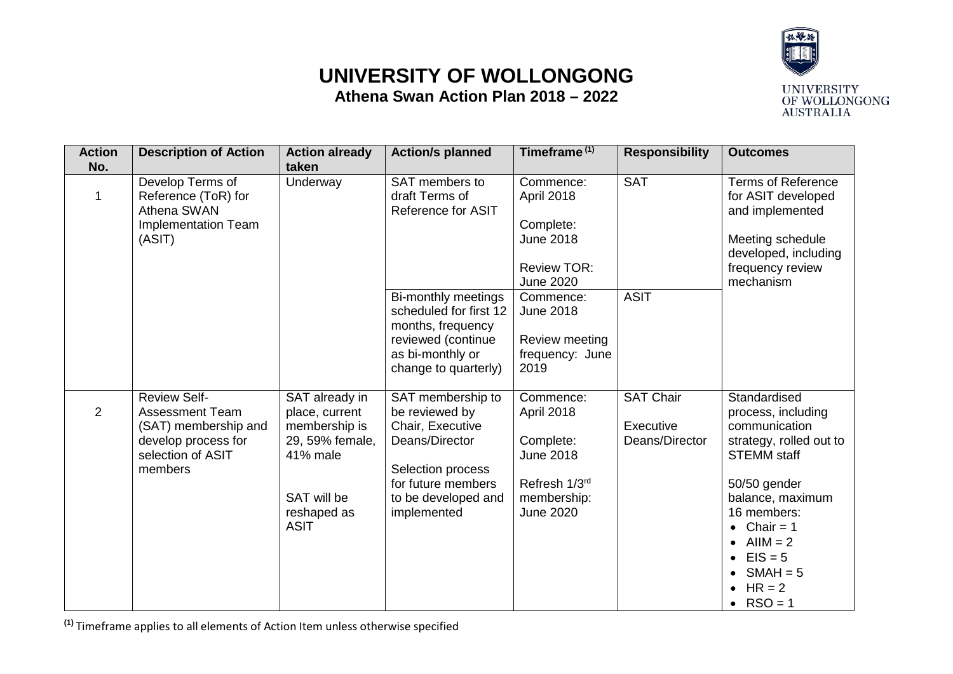## **UNIVERSITY OF WOLLONGONG Athena Swan Action Plan 2018 – 2022**



| <b>Action</b><br>No. | <b>Description of Action</b>                                                                                                 | <b>Action already</b><br>taken                                                                                                | <b>Action/s planned</b>                                                                                                                                    | Timeframe <sup>(1)</sup>                                                                                     | <b>Responsibility</b>                           | <b>Outcomes</b>                                                                                                                                                                                                                                                                 |
|----------------------|------------------------------------------------------------------------------------------------------------------------------|-------------------------------------------------------------------------------------------------------------------------------|------------------------------------------------------------------------------------------------------------------------------------------------------------|--------------------------------------------------------------------------------------------------------------|-------------------------------------------------|---------------------------------------------------------------------------------------------------------------------------------------------------------------------------------------------------------------------------------------------------------------------------------|
| 1                    | Develop Terms of<br>Reference (ToR) for<br>Athena SWAN<br>Implementation Team<br>(ASIT)                                      | Underway                                                                                                                      | SAT members to<br>draft Terms of<br><b>Reference for ASIT</b>                                                                                              | Commence:<br>April 2018<br>Complete:<br><b>June 2018</b><br><b>Review TOR:</b><br><b>June 2020</b>           | <b>SAT</b>                                      | <b>Terms of Reference</b><br>for ASIT developed<br>and implemented<br>Meeting schedule<br>developed, including<br>frequency review<br>mechanism                                                                                                                                 |
|                      |                                                                                                                              |                                                                                                                               | Bi-monthly meetings<br>scheduled for first 12<br>months, frequency<br>reviewed (continue<br>as bi-monthly or<br>change to quarterly)                       | Commence:<br><b>June 2018</b><br>Review meeting<br>frequency: June<br>2019                                   | <b>ASIT</b>                                     |                                                                                                                                                                                                                                                                                 |
| 2                    | <b>Review Self-</b><br><b>Assessment Team</b><br>(SAT) membership and<br>develop process for<br>selection of ASIT<br>members | SAT already in<br>place, current<br>membership is<br>29, 59% female,<br>41% male<br>SAT will be<br>reshaped as<br><b>ASIT</b> | SAT membership to<br>be reviewed by<br>Chair, Executive<br>Deans/Director<br>Selection process<br>for future members<br>to be developed and<br>implemented | Commence:<br>April 2018<br>Complete:<br><b>June 2018</b><br>Refresh 1/3rd<br>membership:<br><b>June 2020</b> | <b>SAT Chair</b><br>Executive<br>Deans/Director | Standardised<br>process, including<br>communication<br>strategy, rolled out to<br><b>STEMM</b> staff<br>50/50 gender<br>balance, maximum<br>16 members:<br>Chair = $1$<br>$\bullet$<br>$AllM = 2$<br>$EIS = 5$<br>$\bullet$<br>$SMAH = 5$<br>$HR = 2$<br>$RSO = 1$<br>$\bullet$ |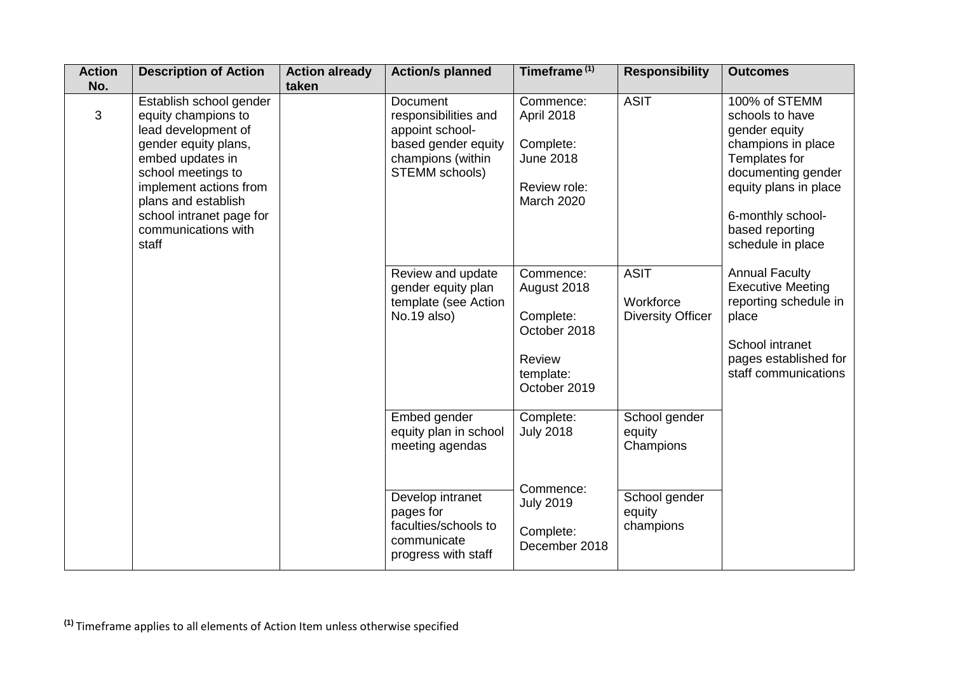| <b>Action</b><br>No. | <b>Description of Action</b>                                                                                                                                                                                                                         | <b>Action already</b><br>taken | <b>Action/s planned</b>                                                                                                  | Timeframe <sup>(1)</sup>                                                                      | <b>Responsibility</b>                                | <b>Outcomes</b>                                                                                                                                                                                      |
|----------------------|------------------------------------------------------------------------------------------------------------------------------------------------------------------------------------------------------------------------------------------------------|--------------------------------|--------------------------------------------------------------------------------------------------------------------------|-----------------------------------------------------------------------------------------------|------------------------------------------------------|------------------------------------------------------------------------------------------------------------------------------------------------------------------------------------------------------|
| 3                    | Establish school gender<br>equity champions to<br>lead development of<br>gender equity plans,<br>embed updates in<br>school meetings to<br>implement actions from<br>plans and establish<br>school intranet page for<br>communications with<br>staff |                                | <b>Document</b><br>responsibilities and<br>appoint school-<br>based gender equity<br>champions (within<br>STEMM schools) | Commence:<br>April 2018<br>Complete:<br><b>June 2018</b><br>Review role:<br><b>March 2020</b> | <b>ASIT</b>                                          | 100% of STEMM<br>schools to have<br>gender equity<br>champions in place<br>Templates for<br>documenting gender<br>equity plans in place<br>6-monthly school-<br>based reporting<br>schedule in place |
|                      |                                                                                                                                                                                                                                                      |                                | Review and update<br>gender equity plan<br>template (see Action<br>No.19 also)                                           | Commence:<br>August 2018<br>Complete:<br>October 2018<br>Review<br>template:<br>October 2019  | <b>ASIT</b><br>Workforce<br><b>Diversity Officer</b> | <b>Annual Faculty</b><br><b>Executive Meeting</b><br>reporting schedule in<br>place<br>School intranet<br>pages established for<br>staff communications                                              |
|                      |                                                                                                                                                                                                                                                      |                                | Embed gender<br>equity plan in school<br>meeting agendas                                                                 | Complete:<br><b>July 2018</b>                                                                 | School gender<br>equity<br>Champions                 |                                                                                                                                                                                                      |
|                      |                                                                                                                                                                                                                                                      |                                | Develop intranet<br>pages for<br>faculties/schools to<br>communicate<br>progress with staff                              | Commence:<br><b>July 2019</b><br>Complete:<br>December 2018                                   | School gender<br>equity<br>champions                 |                                                                                                                                                                                                      |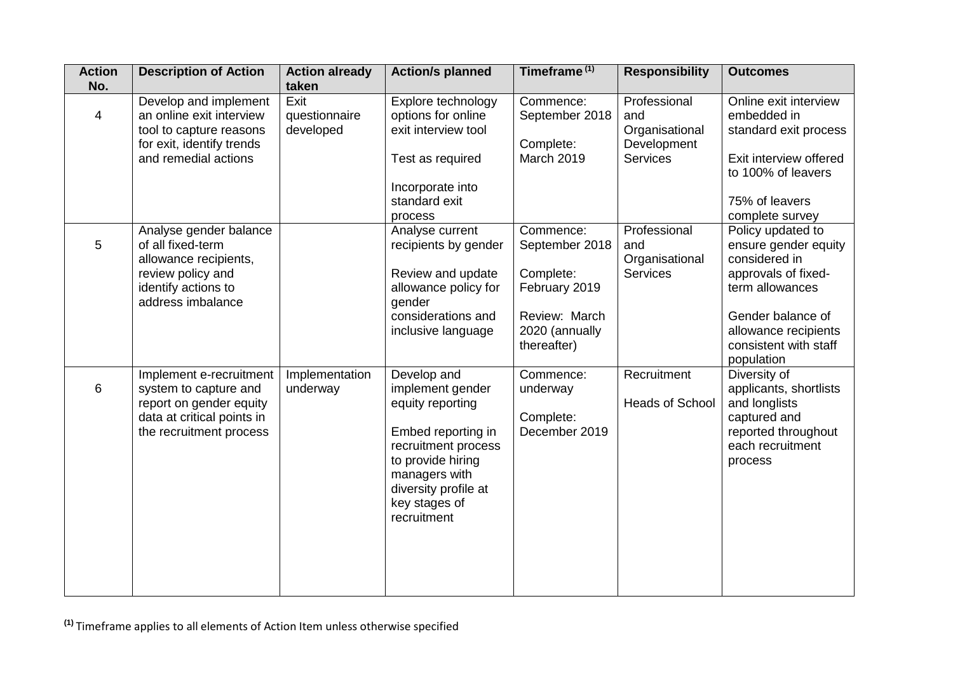| <b>Action</b><br>No. | <b>Description of Action</b>                                                                                                          | <b>Action already</b><br>taken     | <b>Action/s planned</b>                                                                                                                                                                        | Timeframe <sup>(1)</sup>                                                                                    | <b>Responsibility</b>                                                   | <b>Outcomes</b>                                                                                                                                                                          |
|----------------------|---------------------------------------------------------------------------------------------------------------------------------------|------------------------------------|------------------------------------------------------------------------------------------------------------------------------------------------------------------------------------------------|-------------------------------------------------------------------------------------------------------------|-------------------------------------------------------------------------|------------------------------------------------------------------------------------------------------------------------------------------------------------------------------------------|
| 4                    | Develop and implement<br>an online exit interview<br>tool to capture reasons<br>for exit, identify trends<br>and remedial actions     | Exit<br>questionnaire<br>developed | Explore technology<br>options for online<br>exit interview tool<br>Test as required<br>Incorporate into<br>standard exit<br>process                                                            | Commence:<br>September 2018<br>Complete:<br>March 2019                                                      | Professional<br>and<br>Organisational<br>Development<br><b>Services</b> | Online exit interview<br>embedded in<br>standard exit process<br>Exit interview offered<br>to 100% of leavers<br>75% of leavers<br>complete survey                                       |
| 5                    | Analyse gender balance<br>of all fixed-term<br>allowance recipients,<br>review policy and<br>identify actions to<br>address imbalance |                                    | Analyse current<br>recipients by gender<br>Review and update<br>allowance policy for<br>gender<br>considerations and<br>inclusive language                                                     | Commence:<br>September 2018<br>Complete:<br>February 2019<br>Review: March<br>2020 (annually<br>thereafter) | Professional<br>and<br>Organisational<br>Services                       | Policy updated to<br>ensure gender equity<br>considered in<br>approvals of fixed-<br>term allowances<br>Gender balance of<br>allowance recipients<br>consistent with staff<br>population |
| 6                    | Implement e-recruitment<br>system to capture and<br>report on gender equity<br>data at critical points in<br>the recruitment process  | Implementation<br>underway         | Develop and<br>implement gender<br>equity reporting<br>Embed reporting in<br>recruitment process<br>to provide hiring<br>managers with<br>diversity profile at<br>key stages of<br>recruitment | Commence:<br>underway<br>Complete:<br>December 2019                                                         | Recruitment<br><b>Heads of School</b>                                   | Diversity of<br>applicants, shortlists<br>and longlists<br>captured and<br>reported throughout<br>each recruitment<br>process                                                            |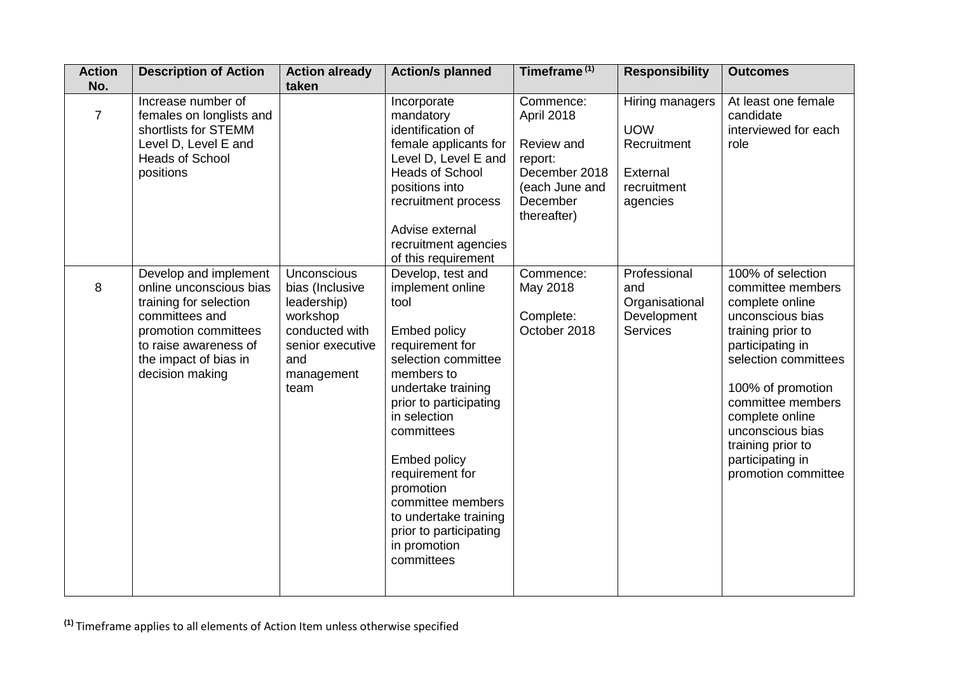| <b>Action</b><br>No. | <b>Description of Action</b>                                                                                                                                                              | <b>Action already</b><br>taken                                                                                               | <b>Action/s planned</b>                                                                                                                                                                                                                                                                                                                                                 | Timeframe <sup>(1)</sup>                                                                                       | <b>Responsibility</b>                                                               | <b>Outcomes</b>                                                                                                                                                                                                                                                                                 |
|----------------------|-------------------------------------------------------------------------------------------------------------------------------------------------------------------------------------------|------------------------------------------------------------------------------------------------------------------------------|-------------------------------------------------------------------------------------------------------------------------------------------------------------------------------------------------------------------------------------------------------------------------------------------------------------------------------------------------------------------------|----------------------------------------------------------------------------------------------------------------|-------------------------------------------------------------------------------------|-------------------------------------------------------------------------------------------------------------------------------------------------------------------------------------------------------------------------------------------------------------------------------------------------|
| $\overline{7}$       | Increase number of<br>females on longlists and<br>shortlists for STEMM<br>Level D, Level E and<br><b>Heads of School</b><br>positions                                                     |                                                                                                                              | Incorporate<br>mandatory<br>identification of<br>female applicants for<br>Level D, Level E and<br><b>Heads of School</b><br>positions into<br>recruitment process<br>Advise external<br>recruitment agencies<br>of this requirement                                                                                                                                     | Commence:<br>April 2018<br>Review and<br>report:<br>December 2018<br>(each June and<br>December<br>thereafter) | Hiring managers<br><b>UOW</b><br>Recruitment<br>External<br>recruitment<br>agencies | At least one female<br>candidate<br>interviewed for each<br>role                                                                                                                                                                                                                                |
| 8                    | Develop and implement<br>online unconscious bias<br>training for selection<br>committees and<br>promotion committees<br>to raise awareness of<br>the impact of bias in<br>decision making | Unconscious<br>bias (Inclusive<br>leadership)<br>workshop<br>conducted with<br>senior executive<br>and<br>management<br>team | Develop, test and<br>implement online<br>tool<br><b>Embed policy</b><br>requirement for<br>selection committee<br>members to<br>undertake training<br>prior to participating<br>in selection<br>committees<br><b>Embed policy</b><br>requirement for<br>promotion<br>committee members<br>to undertake training<br>prior to participating<br>in promotion<br>committees | Commence:<br>May 2018<br>Complete:<br>October 2018                                                             | Professional<br>and<br>Organisational<br>Development<br><b>Services</b>             | 100% of selection<br>committee members<br>complete online<br>unconscious bias<br>training prior to<br>participating in<br>selection committees<br>100% of promotion<br>committee members<br>complete online<br>unconscious bias<br>training prior to<br>participating in<br>promotion committee |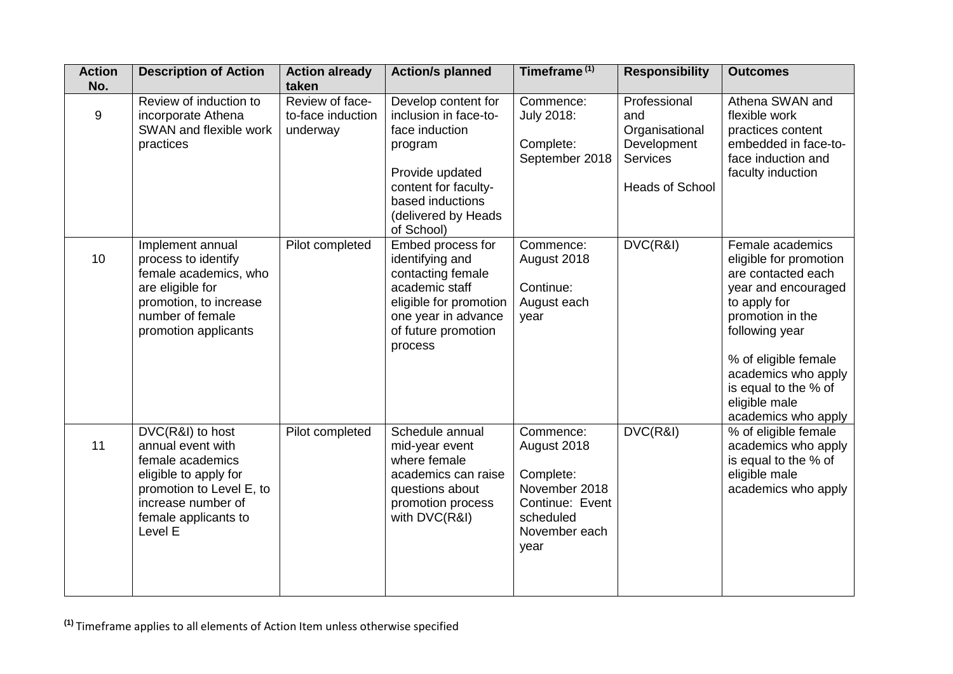| <b>Action</b><br>No. | <b>Description of Action</b>                                                                                                                                            | <b>Action already</b><br>taken                   | <b>Action/s planned</b>                                                                                                                                                       | Timeframe <sup>(1)</sup>                                                                                        | <b>Responsibility</b>                                                                             | <b>Outcomes</b>                                                                                                                                                                                                                                              |
|----------------------|-------------------------------------------------------------------------------------------------------------------------------------------------------------------------|--------------------------------------------------|-------------------------------------------------------------------------------------------------------------------------------------------------------------------------------|-----------------------------------------------------------------------------------------------------------------|---------------------------------------------------------------------------------------------------|--------------------------------------------------------------------------------------------------------------------------------------------------------------------------------------------------------------------------------------------------------------|
| 9                    | Review of induction to<br>incorporate Athena<br>SWAN and flexible work<br>practices                                                                                     | Review of face-<br>to-face induction<br>underway | Develop content for<br>inclusion in face-to-<br>face induction<br>program<br>Provide updated<br>content for faculty-<br>based inductions<br>(delivered by Heads<br>of School) | Commence:<br><b>July 2018:</b><br>Complete:<br>September 2018                                                   | Professional<br>and<br>Organisational<br>Development<br><b>Services</b><br><b>Heads of School</b> | Athena SWAN and<br>flexible work<br>practices content<br>embedded in face-to-<br>face induction and<br>faculty induction                                                                                                                                     |
| 10                   | Implement annual<br>process to identify<br>female academics, who<br>are eligible for<br>promotion, to increase<br>number of female<br>promotion applicants              | Pilot completed                                  | Embed process for<br>identifying and<br>contacting female<br>academic staff<br>eligible for promotion<br>one year in advance<br>of future promotion<br>process                | Commence:<br>August 2018<br>Continue:<br>August each<br>year                                                    | DVC(R&I)                                                                                          | Female academics<br>eligible for promotion<br>are contacted each<br>year and encouraged<br>to apply for<br>promotion in the<br>following year<br>% of eligible female<br>academics who apply<br>is equal to the % of<br>eligible male<br>academics who apply |
| 11                   | DVC(R&I) to host<br>annual event with<br>female academics<br>eligible to apply for<br>promotion to Level E, to<br>increase number of<br>female applicants to<br>Level E | Pilot completed                                  | Schedule annual<br>mid-year event<br>where female<br>academics can raise<br>questions about<br>promotion process<br>with DVC(R&I)                                             | Commence:<br>August 2018<br>Complete:<br>November 2018<br>Continue: Event<br>scheduled<br>November each<br>year | DVC(R&I)                                                                                          | % of eligible female<br>academics who apply<br>is equal to the % of<br>eligible male<br>academics who apply                                                                                                                                                  |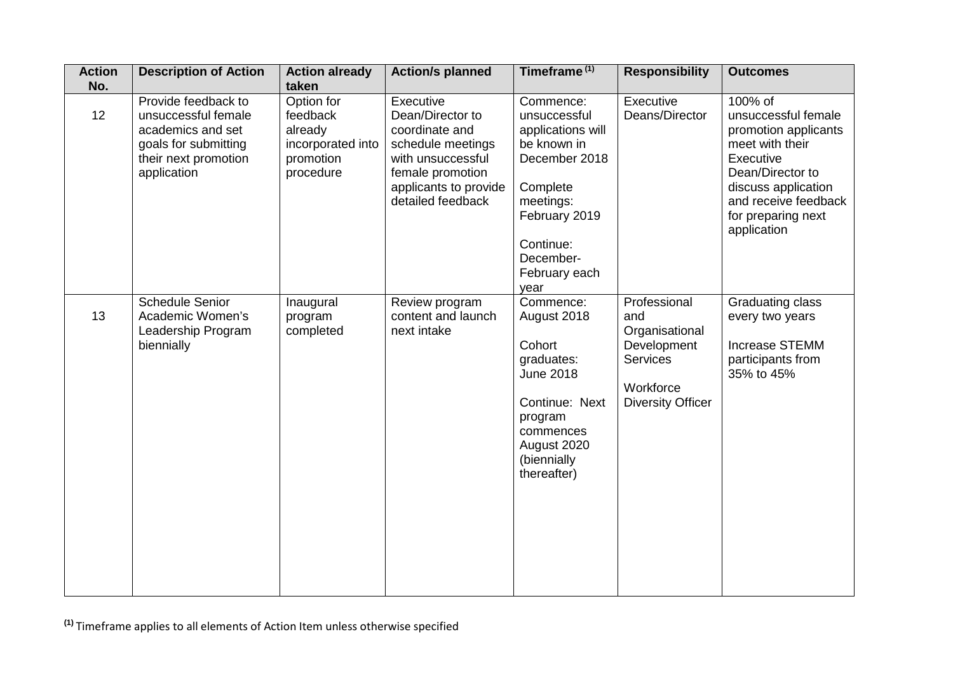| <b>Action</b><br>No. | <b>Description of Action</b>                                                                                                   | <b>Action already</b><br>taken                                                   | <b>Action/s planned</b>                                                                                                                                     | Timeframe <sup>(1)</sup>                                                                                                                                                    | <b>Responsibility</b>                                                                                            | <b>Outcomes</b>                                                                                                                                                                                |
|----------------------|--------------------------------------------------------------------------------------------------------------------------------|----------------------------------------------------------------------------------|-------------------------------------------------------------------------------------------------------------------------------------------------------------|-----------------------------------------------------------------------------------------------------------------------------------------------------------------------------|------------------------------------------------------------------------------------------------------------------|------------------------------------------------------------------------------------------------------------------------------------------------------------------------------------------------|
| 12                   | Provide feedback to<br>unsuccessful female<br>academics and set<br>goals for submitting<br>their next promotion<br>application | Option for<br>feedback<br>already<br>incorporated into<br>promotion<br>procedure | Executive<br>Dean/Director to<br>coordinate and<br>schedule meetings<br>with unsuccessful<br>female promotion<br>applicants to provide<br>detailed feedback | Commence:<br>unsuccessful<br>applications will<br>be known in<br>December 2018<br>Complete<br>meetings:<br>February 2019<br>Continue:<br>December-<br>February each<br>year | Executive<br>Deans/Director                                                                                      | 100% of<br>unsuccessful female<br>promotion applicants<br>meet with their<br>Executive<br>Dean/Director to<br>discuss application<br>and receive feedback<br>for preparing next<br>application |
| 13                   | <b>Schedule Senior</b><br>Academic Women's<br>Leadership Program<br>biennially                                                 | Inaugural<br>program<br>completed                                                | Review program<br>content and launch<br>next intake                                                                                                         | Commence:<br>August 2018<br>Cohort<br>graduates:<br><b>June 2018</b><br>Continue: Next<br>program<br>commences<br>August 2020<br>(biennially<br>thereafter)                 | Professional<br>and<br>Organisational<br>Development<br><b>Services</b><br>Workforce<br><b>Diversity Officer</b> | <b>Graduating class</b><br>every two years<br>Increase STEMM<br>participants from<br>35% to 45%                                                                                                |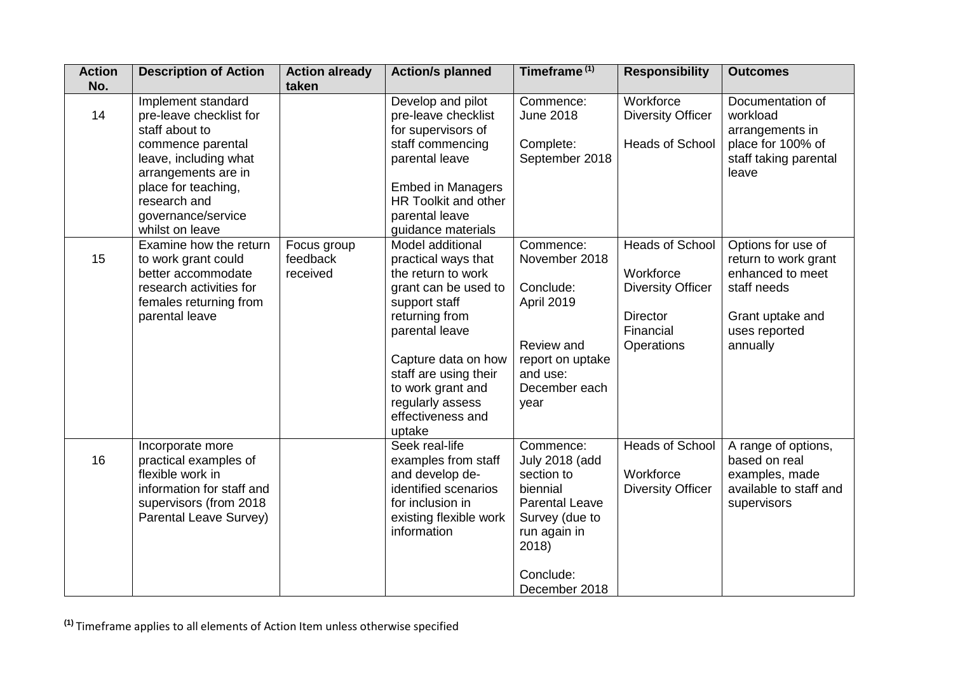| <b>Action</b> | <b>Description of Action</b>                                                                                                                                                                                         | <b>Action already</b>               | <b>Action/s planned</b>                                                                                                                                                                                                                                            | Timeframe <sup>(1)</sup>                                                                                                                                       | <b>Responsibility</b>                                                                                  | <b>Outcomes</b>                                                                                                                |
|---------------|----------------------------------------------------------------------------------------------------------------------------------------------------------------------------------------------------------------------|-------------------------------------|--------------------------------------------------------------------------------------------------------------------------------------------------------------------------------------------------------------------------------------------------------------------|----------------------------------------------------------------------------------------------------------------------------------------------------------------|--------------------------------------------------------------------------------------------------------|--------------------------------------------------------------------------------------------------------------------------------|
| No.<br>14     | Implement standard<br>pre-leave checklist for<br>staff about to<br>commence parental<br>leave, including what<br>arrangements are in<br>place for teaching,<br>research and<br>governance/service<br>whilst on leave | taken                               | Develop and pilot<br>pre-leave checklist<br>for supervisors of<br>staff commencing<br>parental leave<br><b>Embed in Managers</b><br>HR Toolkit and other<br>parental leave<br>guidance materials                                                                   | Commence:<br><b>June 2018</b><br>Complete:<br>September 2018                                                                                                   | Workforce<br><b>Diversity Officer</b><br><b>Heads of School</b>                                        | Documentation of<br>workload<br>arrangements in<br>place for 100% of<br>staff taking parental<br>leave                         |
| 15            | Examine how the return<br>to work grant could<br>better accommodate<br>research activities for<br>females returning from<br>parental leave                                                                           | Focus group<br>feedback<br>received | Model additional<br>practical ways that<br>the return to work<br>grant can be used to<br>support staff<br>returning from<br>parental leave<br>Capture data on how<br>staff are using their<br>to work grant and<br>regularly assess<br>effectiveness and<br>uptake | Commence:<br>November 2018<br>Conclude:<br>April 2019<br>Review and<br>report on uptake<br>and use:<br>December each<br>year                                   | Heads of School<br>Workforce<br><b>Diversity Officer</b><br><b>Director</b><br>Financial<br>Operations | Options for use of<br>return to work grant<br>enhanced to meet<br>staff needs<br>Grant uptake and<br>uses reported<br>annually |
| 16            | Incorporate more<br>practical examples of<br>flexible work in<br>information for staff and<br>supervisors (from 2018<br>Parental Leave Survey)                                                                       |                                     | Seek real-life<br>examples from staff<br>and develop de-<br>identified scenarios<br>for inclusion in<br>existing flexible work<br>information                                                                                                                      | Commence:<br><b>July 2018 (add</b><br>section to<br>biennial<br><b>Parental Leave</b><br>Survey (due to<br>run again in<br>2018)<br>Conclude:<br>December 2018 | Heads of School<br>Workforce<br><b>Diversity Officer</b>                                               | A range of options,<br>based on real<br>examples, made<br>available to staff and<br>supervisors                                |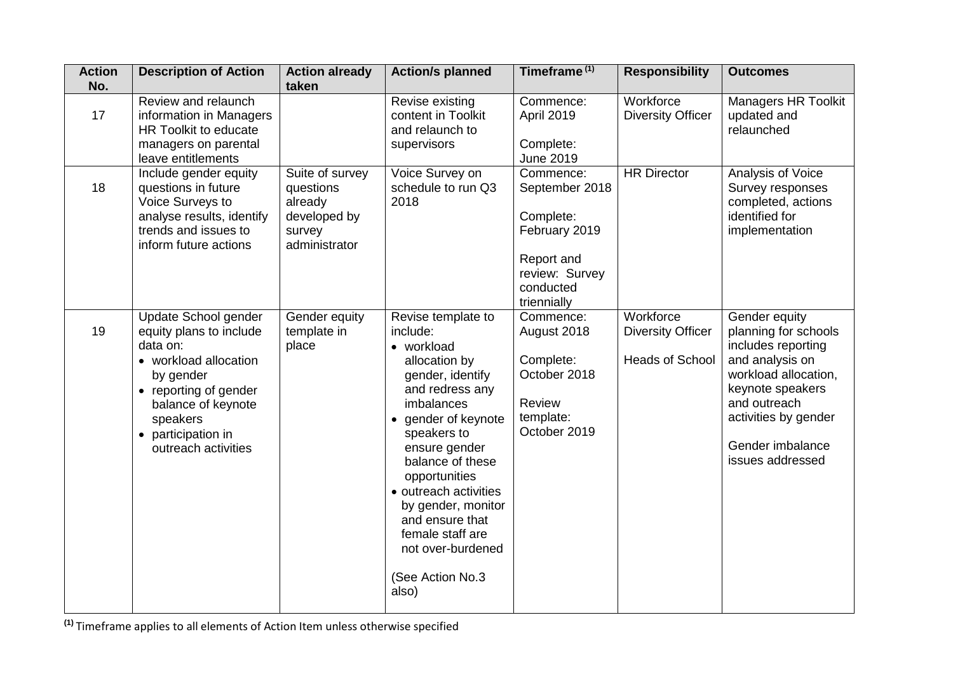| <b>Action</b><br>No. | <b>Description of Action</b>                                                                                                                                                                              | <b>Action already</b><br>taken                                                     | <b>Action/s planned</b>                                                                                                                                                                                                                                                                                                                                           | Timeframe <sup>(1)</sup>                                                                                              | <b>Responsibility</b>                                           | <b>Outcomes</b>                                                                                                                                                                                            |
|----------------------|-----------------------------------------------------------------------------------------------------------------------------------------------------------------------------------------------------------|------------------------------------------------------------------------------------|-------------------------------------------------------------------------------------------------------------------------------------------------------------------------------------------------------------------------------------------------------------------------------------------------------------------------------------------------------------------|-----------------------------------------------------------------------------------------------------------------------|-----------------------------------------------------------------|------------------------------------------------------------------------------------------------------------------------------------------------------------------------------------------------------------|
| 17                   | Review and relaunch<br>information in Managers<br>HR Toolkit to educate<br>managers on parental<br>leave entitlements                                                                                     |                                                                                    | Revise existing<br>content in Toolkit<br>and relaunch to<br>supervisors                                                                                                                                                                                                                                                                                           | Commence:<br><b>April 2019</b><br>Complete:<br><b>June 2019</b>                                                       | Workforce<br><b>Diversity Officer</b>                           | <b>Managers HR Toolkit</b><br>updated and<br>relaunched                                                                                                                                                    |
| 18                   | Include gender equity<br>questions in future<br>Voice Surveys to<br>analyse results, identify<br>trends and issues to<br>inform future actions                                                            | Suite of survey<br>questions<br>already<br>developed by<br>survey<br>administrator | Voice Survey on<br>schedule to run Q3<br>2018                                                                                                                                                                                                                                                                                                                     | Commence:<br>September 2018<br>Complete:<br>February 2019<br>Report and<br>review: Survey<br>conducted<br>triennially | <b>HR Director</b>                                              | Analysis of Voice<br>Survey responses<br>completed, actions<br>identified for<br>implementation                                                                                                            |
| 19                   | Update School gender<br>equity plans to include<br>data on:<br>• workload allocation<br>by gender<br>• reporting of gender<br>balance of keynote<br>speakers<br>• participation in<br>outreach activities | Gender equity<br>template in<br>place                                              | Revise template to<br>include:<br>• workload<br>allocation by<br>gender, identify<br>and redress any<br>imbalances<br>gender of keynote<br>$\bullet$<br>speakers to<br>ensure gender<br>balance of these<br>opportunities<br>• outreach activities<br>by gender, monitor<br>and ensure that<br>female staff are<br>not over-burdened<br>(See Action No.3<br>also) | Commence:<br>August 2018<br>Complete:<br>October 2018<br><b>Review</b><br>template:<br>October 2019                   | Workforce<br><b>Diversity Officer</b><br><b>Heads of School</b> | Gender equity<br>planning for schools<br>includes reporting<br>and analysis on<br>workload allocation,<br>keynote speakers<br>and outreach<br>activities by gender<br>Gender imbalance<br>issues addressed |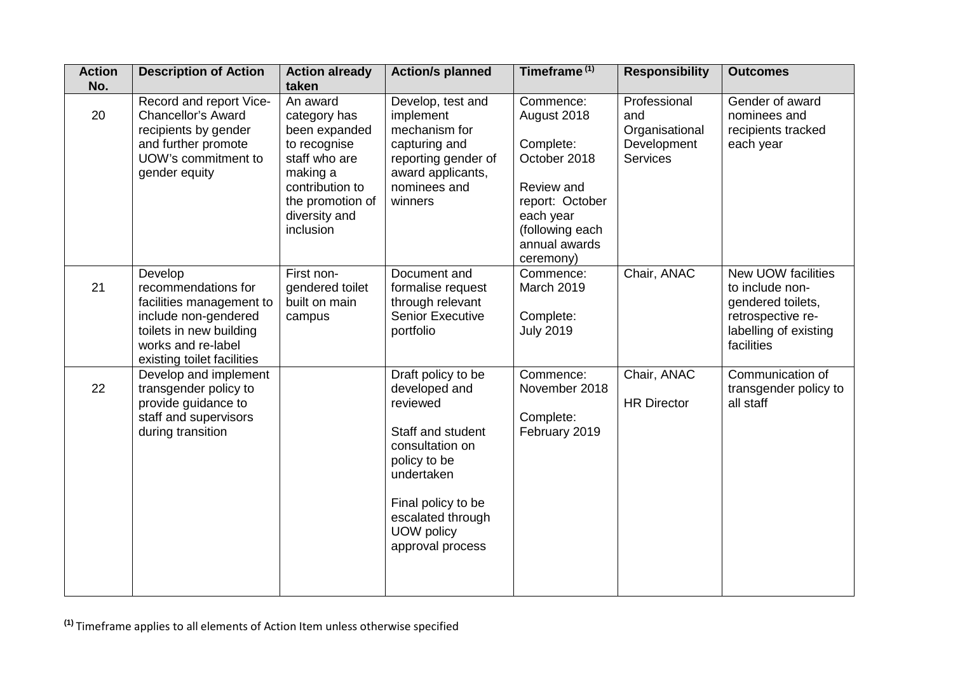| <b>Action</b><br>No. | <b>Description of Action</b>                                                                                                                                      | <b>Action already</b><br>taken                                                                                                                              | <b>Action/s planned</b>                                                                                                                                                                            | Timeframe <sup>(1)</sup>                                                                                                                             | <b>Responsibility</b>                                                   | <b>Outcomes</b>                                                                                                        |
|----------------------|-------------------------------------------------------------------------------------------------------------------------------------------------------------------|-------------------------------------------------------------------------------------------------------------------------------------------------------------|----------------------------------------------------------------------------------------------------------------------------------------------------------------------------------------------------|------------------------------------------------------------------------------------------------------------------------------------------------------|-------------------------------------------------------------------------|------------------------------------------------------------------------------------------------------------------------|
| 20                   | Record and report Vice-<br>Chancellor's Award<br>recipients by gender<br>and further promote<br>UOW's commitment to<br>gender equity                              | An award<br>category has<br>been expanded<br>to recognise<br>staff who are<br>making a<br>contribution to<br>the promotion of<br>diversity and<br>inclusion | Develop, test and<br>implement<br>mechanism for<br>capturing and<br>reporting gender of<br>award applicants,<br>nominees and<br>winners                                                            | Commence:<br>August 2018<br>Complete:<br>October 2018<br>Review and<br>report: October<br>each year<br>(following each<br>annual awards<br>ceremony) | Professional<br>and<br>Organisational<br>Development<br><b>Services</b> | Gender of award<br>nominees and<br>recipients tracked<br>each year                                                     |
| 21                   | Develop<br>recommendations for<br>facilities management to<br>include non-gendered<br>toilets in new building<br>works and re-label<br>existing toilet facilities | First non-<br>gendered toilet<br>built on main<br>campus                                                                                                    | Document and<br>formalise request<br>through relevant<br><b>Senior Executive</b><br>portfolio                                                                                                      | Commence:<br>March 2019<br>Complete:<br><b>July 2019</b>                                                                                             | Chair, ANAC                                                             | New UOW facilities<br>to include non-<br>gendered toilets,<br>retrospective re-<br>labelling of existing<br>facilities |
| 22                   | Develop and implement<br>transgender policy to<br>provide guidance to<br>staff and supervisors<br>during transition                                               |                                                                                                                                                             | Draft policy to be<br>developed and<br>reviewed<br>Staff and student<br>consultation on<br>policy to be<br>undertaken<br>Final policy to be<br>escalated through<br>UOW policy<br>approval process | Commence:<br>November 2018<br>Complete:<br>February 2019                                                                                             | Chair, ANAC<br><b>HR Director</b>                                       | Communication of<br>transgender policy to<br>all staff                                                                 |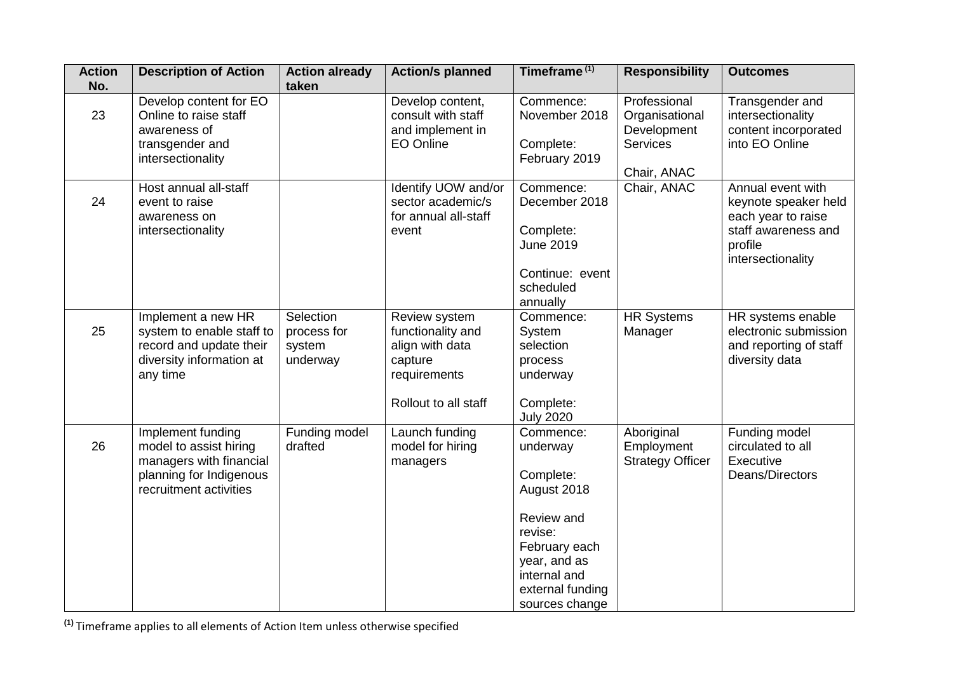| <b>Action</b><br>No. | <b>Description of Action</b>                                                                                                | <b>Action already</b><br>taken                 | <b>Action/s planned</b>                                                                                  | Timeframe <sup>(1)</sup>                                                                                                                                          | <b>Responsibility</b>                                                           | <b>Outcomes</b>                                                                                                        |
|----------------------|-----------------------------------------------------------------------------------------------------------------------------|------------------------------------------------|----------------------------------------------------------------------------------------------------------|-------------------------------------------------------------------------------------------------------------------------------------------------------------------|---------------------------------------------------------------------------------|------------------------------------------------------------------------------------------------------------------------|
| 23                   | Develop content for EO<br>Online to raise staff<br>awareness of<br>transgender and<br>intersectionality                     |                                                | Develop content,<br>consult with staff<br>and implement in<br><b>EO Online</b>                           | Commence:<br>November 2018<br>Complete:<br>February 2019                                                                                                          | Professional<br>Organisational<br>Development<br><b>Services</b><br>Chair, ANAC | Transgender and<br>intersectionality<br>content incorporated<br>into EO Online                                         |
| 24                   | Host annual all-staff<br>event to raise<br>awareness on<br>intersectionality                                                |                                                | Identify UOW and/or<br>sector academic/s<br>for annual all-staff<br>event                                | Commence:<br>December 2018<br>Complete:<br><b>June 2019</b><br>Continue: event<br>scheduled<br>annually                                                           | Chair, ANAC                                                                     | Annual event with<br>keynote speaker held<br>each year to raise<br>staff awareness and<br>profile<br>intersectionality |
| 25                   | Implement a new HR<br>system to enable staff to<br>record and update their<br>diversity information at<br>any time          | Selection<br>process for<br>system<br>underway | Review system<br>functionality and<br>align with data<br>capture<br>requirements<br>Rollout to all staff | Commence:<br>System<br>selection<br>process<br>underway<br>Complete:<br><b>July 2020</b>                                                                          | <b>HR Systems</b><br>Manager                                                    | HR systems enable<br>electronic submission<br>and reporting of staff<br>diversity data                                 |
| 26                   | Implement funding<br>model to assist hiring<br>managers with financial<br>planning for Indigenous<br>recruitment activities | Funding model<br>drafted                       | Launch funding<br>model for hiring<br>managers                                                           | Commence:<br>underway<br>Complete:<br>August 2018<br>Review and<br>revise:<br>February each<br>year, and as<br>internal and<br>external funding<br>sources change | Aboriginal<br>Employment<br><b>Strategy Officer</b>                             | Funding model<br>circulated to all<br>Executive<br>Deans/Directors                                                     |